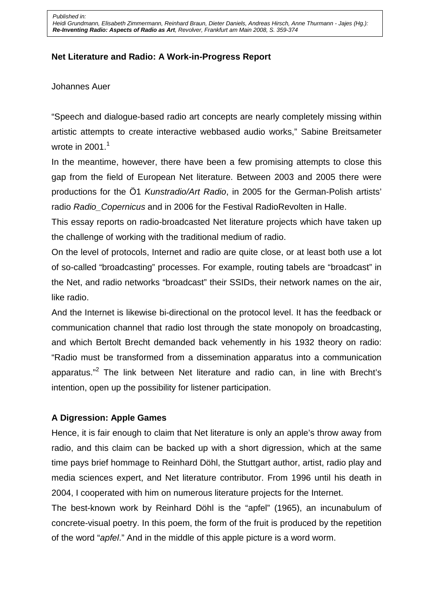Heidi Grundmann, Elisabeth Zimmermann, Reinhard Braun, Dieter Daniels, Andreas Hirsch, Anne Thurmann - Jajes (Hg.): **Re-Inventing Radio: Aspects of Radio as Art**, Revolver, Frankfurt am Main 2008, S. 359-374

#### **Net Literature and Radio: A Work-in-Progress Report**

#### Johannes Auer

"Speech and dialogue-based radio art concepts are nearly completely missing within artistic attempts to create interactive webbased audio works," Sabine Breitsameter wrote in  $2001<sup>1</sup>$ 

In the meantime, however, there have been a few promising attempts to close this gap from the field of European Net literature. Between 2003 and 2005 there were productions for the Ö1 Kunstradio/Art Radio, in 2005 for the German-Polish artists' radio Radio Copernicus and in 2006 for the Festival RadioRevolten in Halle.

This essay reports on radio-broadcasted Net literature projects which have taken up the challenge of working with the traditional medium of radio.

On the level of protocols, Internet and radio are quite close, or at least both use a lot of so-called "broadcasting" processes. For example, routing tabels are "broadcast" in the Net, and radio networks "broadcast" their SSIDs, their network names on the air, like radio.

And the Internet is likewise bi-directional on the protocol level. It has the feedback or communication channel that radio lost through the state monopoly on broadcasting, and which Bertolt Brecht demanded back vehemently in his 1932 theory on radio: "Radio must be transformed from a dissemination apparatus into a communication apparatus."<sup>2</sup> The link between Net literature and radio can, in line with Brecht's intention, open up the possibility for listener participation.

#### **A Digression: Apple Games**

Hence, it is fair enough to claim that Net literature is only an apple's throw away from radio, and this claim can be backed up with a short digression, which at the same time pays brief hommage to Reinhard Döhl, the Stuttgart author, artist, radio play and media sciences expert, and Net literature contributor. From 1996 until his death in 2004, I cooperated with him on numerous literature projects for the Internet.

The best-known work by Reinhard Döhl is the "apfel" (1965), an incunabulum of concrete-visual poetry. In this poem, the form of the fruit is produced by the repetition of the word "apfel." And in the middle of this apple picture is a word worm.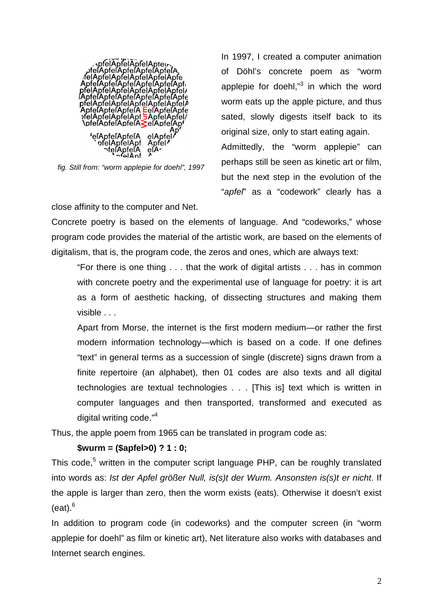

fig. Still from: "worm applepie for doehl", 1997

In 1997, I created a computer animation of Döhl's concrete poem as "worm applepie for doehl,"<sup>3</sup> in which the word worm eats up the apple picture, and thus sated, slowly digests itself back to its original size, only to start eating again. Admittedly, the "worm applepie" can perhaps still be seen as kinetic art or film, but the next step in the evolution of the "apfel" as a "codework" clearly has a

close affinity to the computer and Net.

Concrete poetry is based on the elements of language. And "codeworks," whose program code provides the material of the artistic work, are based on the elements of digitalism, that is, the program code, the zeros and ones, which are always text:

"For there is one thing . . . that the work of digital artists . . . has in common with concrete poetry and the experimental use of language for poetry: it is art as a form of aesthetic hacking, of dissecting structures and making them visible . . .

Apart from Morse, the internet is the first modern medium—or rather the first modern information technology—which is based on a code. If one defines "text" in general terms as a succession of single (discrete) signs drawn from a finite repertoire (an alphabet), then 01 codes are also texts and all digital technologies are textual technologies . . . [This is] text which is written in computer languages and then transported, transformed and executed as digital writing code."<sup>4</sup>

Thus, the apple poem from 1965 can be translated in program code as:

## **\$wurm = (\$apfel>0) ? 1 : 0;**

This code,<sup>5</sup> written in the computer script language PHP, can be roughly translated into words as: Ist der Apfel größer Null, is(s)t der Wurm. Ansonsten is(s)t er nicht. If the apple is larger than zero, then the worm exists (eats). Otherwise it doesn't exist  $(eat).<sup>6</sup>$ 

In addition to program code (in codeworks) and the computer screen (in "worm applepie for doehl" as film or kinetic art), Net literature also works with databases and Internet search engines.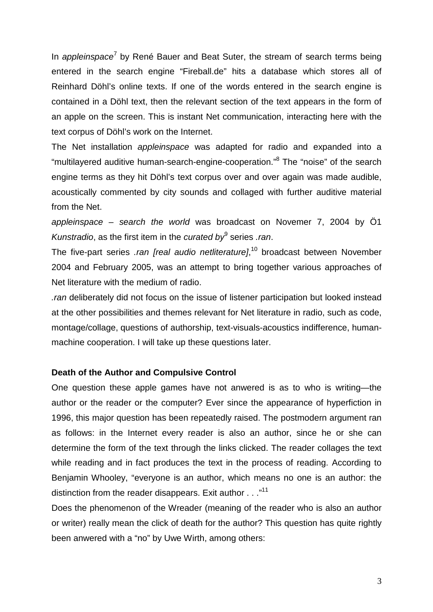In appleinspace<sup>7</sup> by René Bauer and Beat Suter, the stream of search terms being entered in the search engine "Fireball.de" hits a database which stores all of Reinhard Döhl's online texts. If one of the words entered in the search engine is contained in a Döhl text, then the relevant section of the text appears in the form of an apple on the screen. This is instant Net communication, interacting here with the text corpus of Döhl's work on the Internet.

The Net installation appleinspace was adapted for radio and expanded into a "multilayered auditive human-search-engine-cooperation."<sup>8</sup> The "noise" of the search engine terms as they hit Döhl's text corpus over and over again was made audible, acoustically commented by city sounds and collaged with further auditive material from the Net.

appleinspace – search the world was broadcast on Novemer 7, 2004 by Ö1 Kunstradio, as the first item in the curated by series .ran.

The five-part series .ran [real audio netliterature],<sup>10</sup> broadcast between November 2004 and February 2005, was an attempt to bring together various approaches of Net literature with the medium of radio.

.ran deliberately did not focus on the issue of listener participation but looked instead at the other possibilities and themes relevant for Net literature in radio, such as code, montage/collage, questions of authorship, text-visuals-acoustics indifference, humanmachine cooperation. I will take up these questions later.

## **Death of the Author and Compulsive Control**

One question these apple games have not anwered is as to who is writing—the author or the reader or the computer? Ever since the appearance of hyperfiction in 1996, this major question has been repeatedly raised. The postmodern argument ran as follows: in the Internet every reader is also an author, since he or she can determine the form of the text through the links clicked. The reader collages the text while reading and in fact produces the text in the process of reading. According to Benjamin Whooley, "everyone is an author, which means no one is an author: the distinction from the reader disappears. Exit author  $\dots$ <sup>11</sup>

Does the phenomenon of the Wreader (meaning of the reader who is also an author or writer) really mean the click of death for the author? This question has quite rightly been anwered with a "no" by Uwe Wirth, among others: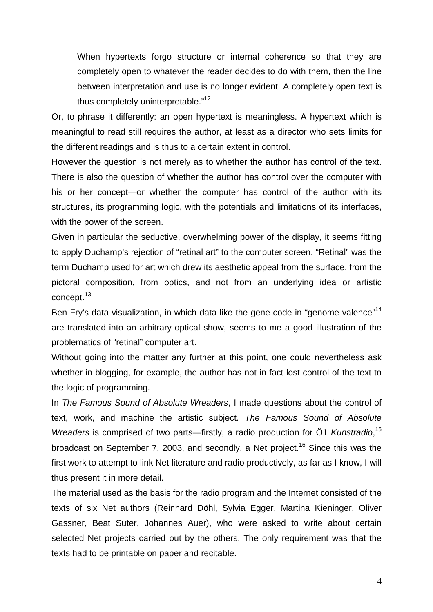When hypertexts forgo structure or internal coherence so that they are completely open to whatever the reader decides to do with them, then the line between interpretation and use is no longer evident. A completely open text is thus completely uninterpretable."<sup>12</sup>

Or, to phrase it differently: an open hypertext is meaningless. A hypertext which is meaningful to read still requires the author, at least as a director who sets limits for the different readings and is thus to a certain extent in control.

However the question is not merely as to whether the author has control of the text. There is also the question of whether the author has control over the computer with his or her concept—or whether the computer has control of the author with its structures, its programming logic, with the potentials and limitations of its interfaces, with the power of the screen.

Given in particular the seductive, overwhelming power of the display, it seems fitting to apply Duchamp's rejection of "retinal art" to the computer screen. "Retinal" was the term Duchamp used for art which drew its aesthetic appeal from the surface, from the pictoral composition, from optics, and not from an underlying idea or artistic concept.<sup>13</sup>

Ben Fry's data visualization, in which data like the gene code in "genome valence"<sup>14</sup> are translated into an arbitrary optical show, seems to me a good illustration of the problematics of "retinal" computer art.

Without going into the matter any further at this point, one could nevertheless ask whether in blogging, for example, the author has not in fact lost control of the text to the logic of programming.

In The Famous Sound of Absolute Wreaders, I made questions about the control of text, work, and machine the artistic subject. The Famous Sound of Absolute Wreaders is comprised of two parts—firstly, a radio production for Ö1 Kunstradio,<sup>15</sup> broadcast on September 7, 2003, and secondly, a Net project.<sup>16</sup> Since this was the first work to attempt to link Net literature and radio productively, as far as I know, I will thus present it in more detail.

The material used as the basis for the radio program and the Internet consisted of the texts of six Net authors (Reinhard Döhl, Sylvia Egger, Martina Kieninger, Oliver Gassner, Beat Suter, Johannes Auer), who were asked to write about certain selected Net projects carried out by the others. The only requirement was that the texts had to be printable on paper and recitable.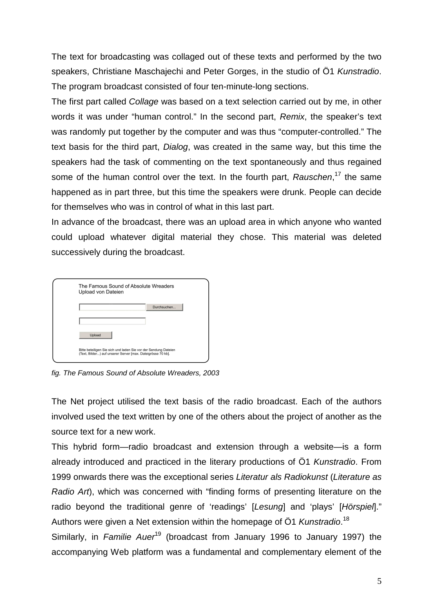The text for broadcasting was collaged out of these texts and performed by the two speakers, Christiane Maschajechi and Peter Gorges, in the studio of Ö1 Kunstradio. The program broadcast consisted of four ten-minute-long sections.

The first part called Collage was based on a text selection carried out by me, in other words it was under "human control." In the second part, Remix, the speaker's text was randomly put together by the computer and was thus "computer-controlled." The text basis for the third part, Dialog, was created in the same way, but this time the speakers had the task of commenting on the text spontaneously and thus regained some of the human control over the text. In the fourth part, Rauschen,<sup>17</sup> the same happened as in part three, but this time the speakers were drunk. People can decide for themselves who was in control of what in this last part.

In advance of the broadcast, there was an upload area in which anyone who wanted could upload whatever digital material they chose. This material was deleted successively during the broadcast.

| The Famous Sound of Absolute Wreaders<br>Upload von Dateien                                                                    |             |
|--------------------------------------------------------------------------------------------------------------------------------|-------------|
|                                                                                                                                | Durchsuchen |
|                                                                                                                                |             |
| Upload                                                                                                                         |             |
| Bitte beteiligen Sie sich und laden Sie vor der Sendung Dateien<br>(Text, Bilder) auf unserer Server [max. Dateigrösse 70 kb]. |             |

fig. The Famous Sound of Absolute Wreaders, 2003

The Net project utilised the text basis of the radio broadcast. Each of the authors involved used the text written by one of the others about the project of another as the source text for a new work.

This hybrid form—radio broadcast and extension through a website—is a form already introduced and practiced in the literary productions of Ö1 Kunstradio. From 1999 onwards there was the exceptional series Literatur als Radiokunst (Literature as Radio Art), which was concerned with "finding forms of presenting literature on the radio beyond the traditional genre of 'readings' [Lesung] and 'plays' [Hörspiel]." Authors were given a Net extension within the homepage of Ö1 Kunstradio.<sup>18</sup>

Similarly, in Familie Auer<sup>19</sup> (broadcast from January 1996 to January 1997) the accompanying Web platform was a fundamental and complementary element of the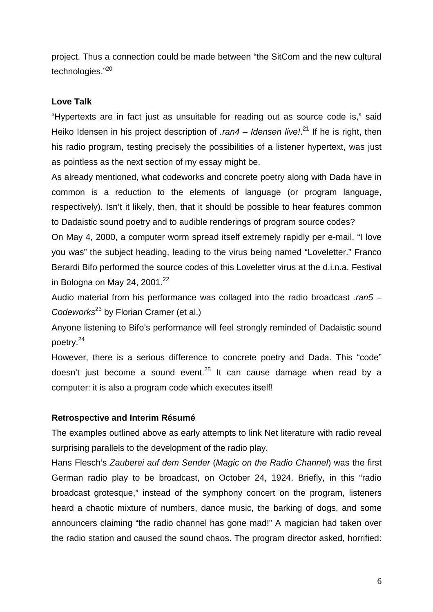project. Thus a connection could be made between "the SitCom and the new cultural technologies."<sup>20</sup>

# **Love Talk**

"Hypertexts are in fact just as unsuitable for reading out as source code is," said Heiko Idensen in his project description of .ran4 – Idensen live!.<sup>21</sup> If he is right, then his radio program, testing precisely the possibilities of a listener hypertext, was just as pointless as the next section of my essay might be.

As already mentioned, what codeworks and concrete poetry along with Dada have in common is a reduction to the elements of language (or program language, respectively). Isn't it likely, then, that it should be possible to hear features common to Dadaistic sound poetry and to audible renderings of program source codes?

On May 4, 2000, a computer worm spread itself extremely rapidly per e-mail. "I love you was" the subject heading, leading to the virus being named "Loveletter." Franco Berardi Bifo performed the source codes of this Loveletter virus at the d.i.n.a. Festival in Bologna on May 24, 2001. $^{22}$ 

Audio material from his performance was collaged into the radio broadcast .ran5 -Codeworks $^{23}$  by Florian Cramer (et al.)

Anyone listening to Bifo's performance will feel strongly reminded of Dadaistic sound poetry.<sup>24</sup>

However, there is a serious difference to concrete poetry and Dada. This "code" doesn't just become a sound event.<sup>25</sup> It can cause damage when read by a computer: it is also a program code which executes itself!

# **Retrospective and Interim Résumé**

The examples outlined above as early attempts to link Net literature with radio reveal surprising parallels to the development of the radio play.

Hans Flesch's Zauberei auf dem Sender (Magic on the Radio Channel) was the first German radio play to be broadcast, on October 24, 1924. Briefly, in this "radio broadcast grotesque," instead of the symphony concert on the program, listeners heard a chaotic mixture of numbers, dance music, the barking of dogs, and some announcers claiming "the radio channel has gone mad!" A magician had taken over the radio station and caused the sound chaos. The program director asked, horrified: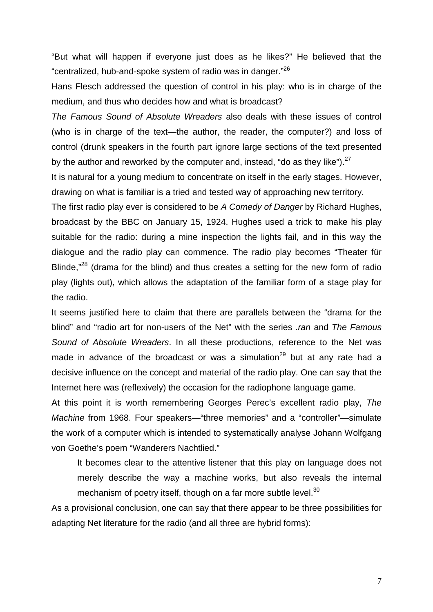"But what will happen if everyone just does as he likes?" He believed that the "centralized, hub-and-spoke system of radio was in danger."<sup>26</sup>

Hans Flesch addressed the question of control in his play: who is in charge of the medium, and thus who decides how and what is broadcast?

The Famous Sound of Absolute Wreaders also deals with these issues of control (who is in charge of the text—the author, the reader, the computer?) and loss of control (drunk speakers in the fourth part ignore large sections of the text presented by the author and reworked by the computer and, instead, "do as they like"). $^{27}$ 

It is natural for a young medium to concentrate on itself in the early stages. However, drawing on what is familiar is a tried and tested way of approaching new territory.

The first radio play ever is considered to be A Comedy of Danger by Richard Hughes, broadcast by the BBC on January 15, 1924. Hughes used a trick to make his play suitable for the radio: during a mine inspection the lights fail, and in this way the dialogue and the radio play can commence. The radio play becomes "Theater für Blinde,<sup>"28</sup> (drama for the blind) and thus creates a setting for the new form of radio play (lights out), which allows the adaptation of the familiar form of a stage play for the radio.

It seems justified here to claim that there are parallels between the "drama for the blind" and "radio art for non-users of the Net" with the series .ran and The Famous Sound of Absolute Wreaders. In all these productions, reference to the Net was made in advance of the broadcast or was a simulation<sup>29</sup> but at any rate had a decisive influence on the concept and material of the radio play. One can say that the Internet here was (reflexively) the occasion for the radiophone language game.

At this point it is worth remembering Georges Perec's excellent radio play, The Machine from 1968. Four speakers—"three memories" and a "controller"—simulate the work of a computer which is intended to systematically analyse Johann Wolfgang von Goethe's poem "Wanderers Nachtlied."

It becomes clear to the attentive listener that this play on language does not merely describe the way a machine works, but also reveals the internal mechanism of poetry itself, though on a far more subtle level.<sup>30</sup>

As a provisional conclusion, one can say that there appear to be three possibilities for adapting Net literature for the radio (and all three are hybrid forms):

7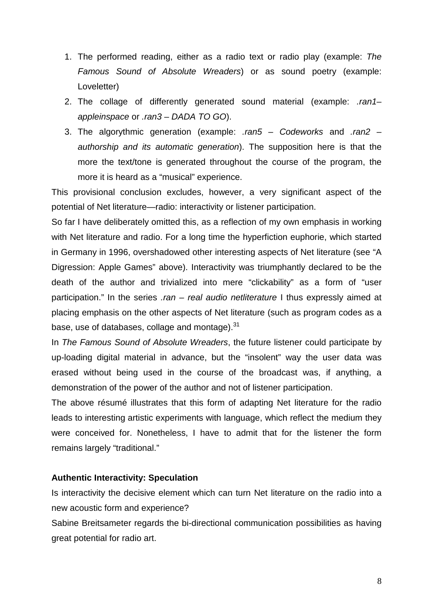- 1. The performed reading, either as a radio text or radio play (example: The Famous Sound of Absolute Wreaders) or as sound poetry (example: Loveletter)
- 2. The collage of differently generated sound material (example: .ran1appleinspace or .ran3 – DADA TO GO).
- 3. The algorythmic generation (example:  $ran5 Codeworks$  and  $ran2$ authorship and its automatic generation). The supposition here is that the more the text/tone is generated throughout the course of the program, the more it is heard as a "musical" experience.

This provisional conclusion excludes, however, a very significant aspect of the potential of Net literature—radio: interactivity or listener participation.

So far I have deliberately omitted this, as a reflection of my own emphasis in working with Net literature and radio. For a long time the hyperfiction euphorie, which started in Germany in 1996, overshadowed other interesting aspects of Net literature (see "A Digression: Apple Games" above). Interactivity was triumphantly declared to be the death of the author and trivialized into mere "clickability" as a form of "user participation." In the series  $ran - real$  audio netliterature I thus expressly aimed at placing emphasis on the other aspects of Net literature (such as program codes as a base, use of databases, collage and montage).<sup>31</sup>

In The Famous Sound of Absolute Wreaders, the future listener could participate by up-loading digital material in advance, but the "insolent" way the user data was erased without being used in the course of the broadcast was, if anything, a demonstration of the power of the author and not of listener participation.

The above résumé illustrates that this form of adapting Net literature for the radio leads to interesting artistic experiments with language, which reflect the medium they were conceived for. Nonetheless, I have to admit that for the listener the form remains largely "traditional."

## **Authentic Interactivity: Speculation**

Is interactivity the decisive element which can turn Net literature on the radio into a new acoustic form and experience?

Sabine Breitsameter regards the bi-directional communication possibilities as having great potential for radio art.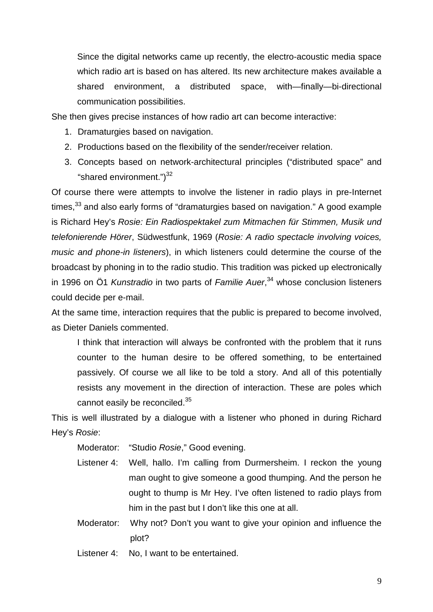Since the digital networks came up recently, the electro-acoustic media space which radio art is based on has altered. Its new architecture makes available a shared environment, a distributed space, with—finally—bi-directional communication possibilities.

She then gives precise instances of how radio art can become interactive:

- 1. Dramaturgies based on navigation.
- 2. Productions based on the flexibility of the sender/receiver relation.
- 3. Concepts based on network-architectural principles ("distributed space" and "shared environment.")<sup>32</sup>

Of course there were attempts to involve the listener in radio plays in pre-Internet times, $33$  and also early forms of "dramaturgies based on navigation." A good example is Richard Hey's Rosie: Ein Radiospektakel zum Mitmachen für Stimmen, Musik und telefonierende Hörer, Südwestfunk, 1969 (Rosie: A radio spectacle involving voices, music and phone-in listeners), in which listeners could determine the course of the broadcast by phoning in to the radio studio. This tradition was picked up electronically in 1996 on Ö1 Kunstradio in two parts of Familie Auer,<sup>34</sup> whose conclusion listeners could decide per e-mail.

At the same time, interaction requires that the public is prepared to become involved, as Dieter Daniels commented.

I think that interaction will always be confronted with the problem that it runs counter to the human desire to be offered something, to be entertained passively. Of course we all like to be told a story. And all of this potentially resists any movement in the direction of interaction. These are poles which cannot easily be reconciled.<sup>35</sup>

This is well illustrated by a dialogue with a listener who phoned in during Richard Hey's Rosie:

Moderator: "Studio Rosie," Good evening.

- Listener 4: Well, hallo. I'm calling from Durmersheim. I reckon the young man ought to give someone a good thumping. And the person he ought to thump is Mr Hey. I've often listened to radio plays from him in the past but I don't like this one at all.
- Moderator: Why not? Don't you want to give your opinion and influence the plot?

Listener 4: No, I want to be entertained.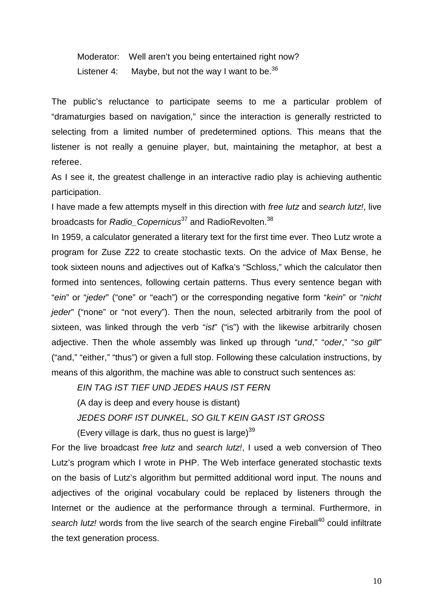Moderator: Well aren't you being entertained right now? Listener 4: Maybe, but not the way I want to be.  $36$ 

The public's reluctance to participate seems to me a particular problem of "dramaturgies based on navigation," since the interaction is generally restricted to selecting from a limited number of predetermined options. This means that the listener is not really a genuine player, but, maintaining the metaphor, at best a referee.

As I see it, the greatest challenge in an interactive radio play is achieving authentic participation.

I have made a few attempts myself in this direction with free lutz and search lutz!, live broadcasts for Radio Copernicus<sup>37</sup> and RadioRevolten.<sup>38</sup>

In 1959, a calculator generated a literary text for the first time ever. Theo Lutz wrote a program for Zuse Z22 to create stochastic texts. On the advice of Max Bense, he took sixteen nouns and adjectives out of Kafka's "Schloss," which the calculator then formed into sentences, following certain patterns. Thus every sentence began with "ein" or "jeder" ("one" or "each") or the corresponding negative form "kein" or "nicht jeder" ("none" or "not every"). Then the noun, selected arbitrarily from the pool of sixteen, was linked through the verb "ist" ("is") with the likewise arbitrarily chosen adjective. Then the whole assembly was linked up through "und," "oder," "so gilt" ("and," "either," "thus") or given a full stop. Following these calculation instructions, by means of this algorithm, the machine was able to construct such sentences as:

EIN TAG IST TIEF UND JEDES HAUS IST FERN

(A day is deep and every house is distant)

JEDES DORF IST DUNKEL, SO GILT KEIN GAST IST GROSS

(Every village is dark, thus no quest is large) $39$ 

For the live broadcast free lutz and search lutz!, I used a web conversion of Theo Lutz's program which I wrote in PHP. The Web interface generated stochastic texts on the basis of Lutz's algorithm but permitted additional word input. The nouns and adjectives of the original vocabulary could be replaced by listeners through the Internet or the audience at the performance through a terminal. Furthermore, in search lutz! words from the live search of the search engine Fireball<sup>40</sup> could infiltrate the text generation process.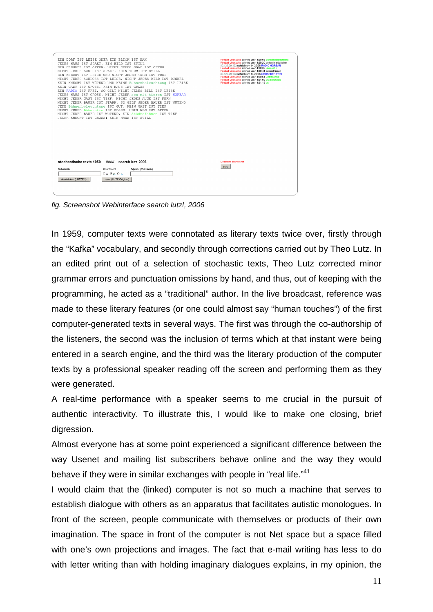| EIN DORF IST LEISE ODER EIN BLICK IST NAH<br>JEDES HAUS IST SPAET. EIN BILD IST STILL<br>EIN FREMDER IST OFFEN. NICHT JEDER GRAF IST OFFEN<br>NICHT JEDES AUGE IST SPAET. KEIN TURM IST STILL<br>EIN KNECHT IST LEISE UND NICHT JEDER TURM IST FREI<br>NICHT JEDES SCHLOSS IST LEISE. NICHT JEDES BILD IST DUNKEL<br>KEIN KNECHT IST WÜTEND UND KEINE Bühnenbeleuchtung IST LEISE<br>KEIN GAST IST GROSS. KEIN HAUS IST GROSS<br>EIN RADIO IST FREI, SO GILT NICHT JEDES BILD IST LEISE<br>JEDES HAUS IST GROSS. NICHT JEDER sex mit tieren IST HÖRBAR<br>NICHT JEDER GAST IST TIEF. NICHT JEDES AUGE IST FERN<br>NICHT JEDER BAUER IST STARK, SO GILT JEDER BAUER IST WÜTEND<br>JEDE Bühnenbeleuchtung IST GUT. KEIN GAST IST TIEF<br>NICHT JEDER Bókasafin IST GROSS. KEIN WEG IST OFFEN<br>NICHT JEDER BAUER IST WÜTEND. EIN Städtefahnen IST TIEF<br>JEDER KNECHT IST GROSS: KEIN HAUS IST STILL |                                                                                           |                       | Fireball Livesuche schrieb um 14:20:08 Bühnenbeleuchtung<br>Fireball Livesuche schrieb um 14:20:20 golfen in süditalien<br>80.129.29.123 schrieb um 14:20:26 RADIO HORBAR<br>Fireball Livesuche schrieb um 14:20:30 Bókasafin<br>Fireball Livesuche schrieb um 14:20:41 sex mit tieren<br>80.129.29.123 schrieb um 14:20:26 GEDANKEN FREI<br>Fireball Livesuche schrieb um 14:20:51 Lichttechnik<br>Fireball Livesuche schrieb um 14:21:02 Städtefahnen<br>Fireball Livesuche schrieb um 14:21.12 bsi |
|------------------------------------------------------------------------------------------------------------------------------------------------------------------------------------------------------------------------------------------------------------------------------------------------------------------------------------------------------------------------------------------------------------------------------------------------------------------------------------------------------------------------------------------------------------------------------------------------------------------------------------------------------------------------------------------------------------------------------------------------------------------------------------------------------------------------------------------------------------------------------------------------------|-------------------------------------------------------------------------------------------|-----------------------|-------------------------------------------------------------------------------------------------------------------------------------------------------------------------------------------------------------------------------------------------------------------------------------------------------------------------------------------------------------------------------------------------------------------------------------------------------------------------------------------------------|
| stochastische texte 1959 //////// search lutz 2006<br>Substantiv<br>abschicken (LUTZEN)                                                                                                                                                                                                                                                                                                                                                                                                                                                                                                                                                                                                                                                                                                                                                                                                              | Geschlecht<br>$C_{\mathbf{w}}$ $C_{\mathbf{m}}$ $C_{\mathbf{n}}$<br>reset (LUTZ Original) | Adjektiv (Prädikativ) | Livesuche schreibt mit<br>stop                                                                                                                                                                                                                                                                                                                                                                                                                                                                        |

fig. Screenshot Webinterface search lutz!, 2006

In 1959, computer texts were connotated as literary texts twice over, firstly through the "Kafka" vocabulary, and secondly through corrections carried out by Theo Lutz. In an edited print out of a selection of stochastic texts, Theo Lutz corrected minor grammar errors and punctuation omissions by hand, and thus, out of keeping with the programming, he acted as a "traditional" author. In the live broadcast, reference was made to these literary features (or one could almost say "human touches") of the first computer-generated texts in several ways. The first was through the co-authorship of the listeners, the second was the inclusion of terms which at that instant were being entered in a search engine, and the third was the literary production of the computer texts by a professional speaker reading off the screen and performing them as they were generated.

A real-time performance with a speaker seems to me crucial in the pursuit of authentic interactivity. To illustrate this, I would like to make one closing, brief digression.

Almost everyone has at some point experienced a significant difference between the way Usenet and mailing list subscribers behave online and the way they would behave if they were in similar exchanges with people in "real life."<sup>41</sup>

I would claim that the (linked) computer is not so much a machine that serves to establish dialogue with others as an apparatus that facilitates autistic monologues. In front of the screen, people communicate with themselves or products of their own imagination. The space in front of the computer is not Net space but a space filled with one's own projections and images. The fact that e-mail writing has less to do with letter writing than with holding imaginary dialogues explains, in my opinion, the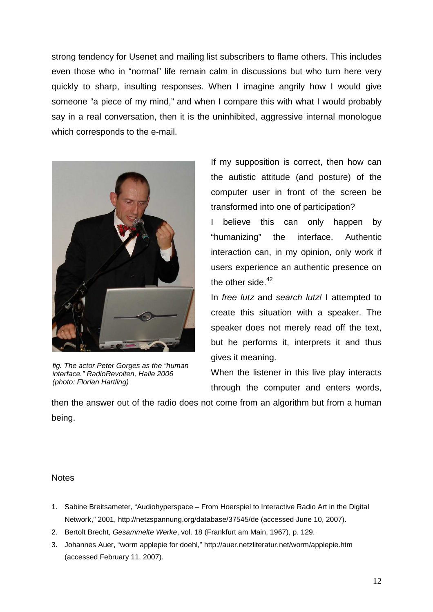strong tendency for Usenet and mailing list subscribers to flame others. This includes even those who in "normal" life remain calm in discussions but who turn here very quickly to sharp, insulting responses. When I imagine angrily how I would give someone "a piece of my mind," and when I compare this with what I would probably say in a real conversation, then it is the uninhibited, aggressive internal monologue which corresponds to the e-mail.



fig. The actor Peter Gorges as the "human interface." RadioRevolten, Halle 2006 (photo: Florian Hartling)

If my supposition is correct, then how can the autistic attitude (and posture) of the computer user in front of the screen be transformed into one of participation?

I believe this can only happen by "humanizing" the interface. Authentic interaction can, in my opinion, only work if users experience an authentic presence on the other side. $42$ 

In free lutz and search lutz! I attempted to create this situation with a speaker. The speaker does not merely read off the text, but he performs it, interprets it and thus gives it meaning.

When the listener in this live play interacts through the computer and enters words,

then the answer out of the radio does not come from an algorithm but from a human being.

## **Notes**

- 1. Sabine Breitsameter, "Audiohyperspace From Hoerspiel to Interactive Radio Art in the Digital Network," 2001, http://netzspannung.org/database/37545/de (accessed June 10, 2007).
- 2. Bertolt Brecht, Gesammelte Werke, vol. 18 (Frankfurt am Main, 1967), p. 129.
- 3. Johannes Auer, "worm applepie for doehl," http://auer.netzliteratur.net/worm/applepie.htm (accessed February 11, 2007).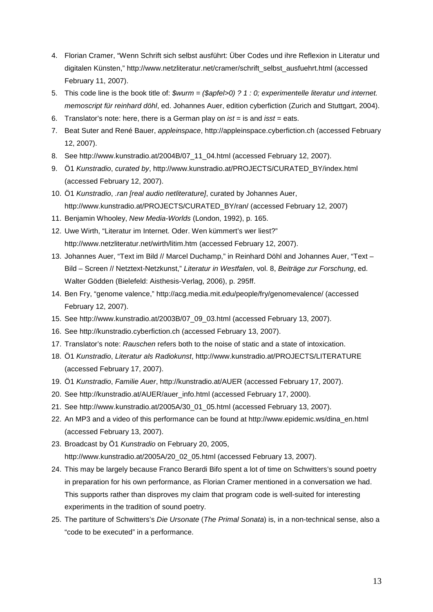- 4. Florian Cramer, "Wenn Schrift sich selbst ausführt: Über Codes und ihre Reflexion in Literatur und digitalen Künsten," http://www.netzliteratur.net/cramer/schrift\_selbst\_ausfuehrt.html (accessed February 11, 2007).
- 5. This code line is the book title of:  $\text{\$wurm = (\$apfel > 0) ? 1 : 0; experimentelle literature und internet.}$ memoscript für reinhard döhl, ed. Johannes Auer, edition cyberfiction (Zurich and Stuttgart, 2004).
- 6. Translator's note: here, there is a German play on  $ist = is$  and  $isst = eats$ .
- 7. Beat Suter and René Bauer, appleinspace, http://appleinspace.cyberfiction.ch (accessed February 12, 2007).
- 8. See http://www.kunstradio.at/2004B/07\_11\_04.html (accessed February 12, 2007).
- 9. Ö1 Kunstradio, curated by, http://www.kunstradio.at/PROJECTS/CURATED\_BY/index.html (accessed February 12, 2007).
- 10. Ö1 Kunstradio, .ran [real audio netliterature], curated by Johannes Auer, http://www.kunstradio.at/PROJECTS/CURATED\_BY/ran/ (accessed February 12, 2007)
- 11. Benjamin Whooley, New Media-Worlds (London, 1992), p. 165.
- 12. Uwe Wirth, "Literatur im Internet. Oder. Wen kümmert's wer liest?" http://www.netzliteratur.net/wirth/litim.htm (accessed February 12, 2007).
- 13. Johannes Auer, "Text im Bild // Marcel Duchamp," in Reinhard Döhl and Johannes Auer, "Text Bild – Screen // Netztext-Netzkunst," Literatur in Westfalen, vol. 8, Beiträge zur Forschung, ed. Walter Gödden (Bielefeld: Aisthesis-Verlag, 2006), p. 295ff.
- 14. Ben Fry, "genome valence," http://acg.media.mit.edu/people/fry/genomevalence/ (accessed February 12, 2007).
- 15. See http://www.kunstradio.at/2003B/07\_09\_03.html (accessed February 13, 2007).
- 16. See http://kunstradio.cyberfiction.ch (accessed February 13, 2007).
- 17. Translator's note: Rauschen refers both to the noise of static and a state of intoxication.
- 18. Ö1 Kunstradio, Literatur als Radiokunst, http://www.kunstradio.at/PROJECTS/LITERATURE (accessed February 17, 2007).
- 19. Ö1 Kunstradio, Familie Auer, http://kunstradio.at/AUER (accessed February 17, 2007).
- 20. See http://kunstradio.at/AUER/auer\_info.html (accessed February 17, 2000).
- 21. See http://www.kunstradio.at/2005A/30\_01\_05.html (accessed February 13, 2007).
- 22. An MP3 and a video of this performance can be found at http://www.epidemic.ws/dina\_en.html (accessed February 13, 2007).
- 23. Broadcast by Ö1 Kunstradio on February 20, 2005,

http://www.kunstradio.at/2005A/20\_02\_05.html (accessed February 13, 2007).

- 24. This may be largely because Franco Berardi Bifo spent a lot of time on Schwitters's sound poetry in preparation for his own performance, as Florian Cramer mentioned in a conversation we had. This supports rather than disproves my claim that program code is well-suited for interesting experiments in the tradition of sound poetry.
- 25. The partiture of Schwitters's Die Ursonate (The Primal Sonata) is, in a non-technical sense, also a "code to be executed" in a performance.